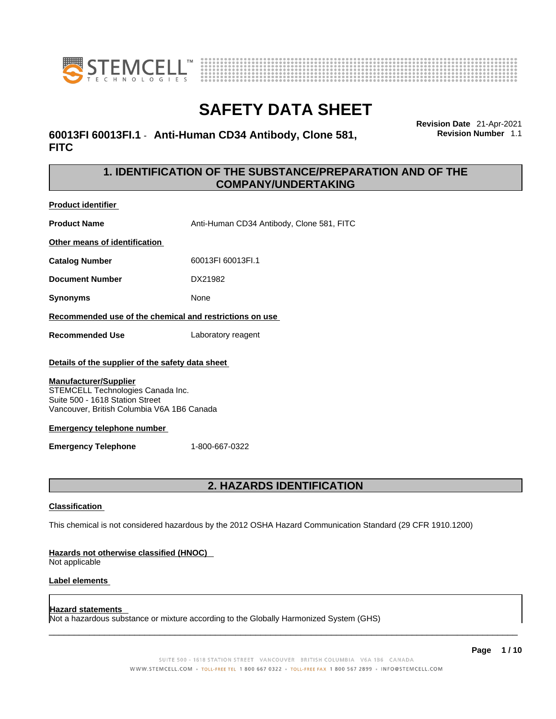



### **60013FI 60013FI.1** - **Anti-Human CD34 Antibody, Clone 581, FITC**

**Revision Date** 21-Apr-2021 **Revision Number** 1.1

### **1. IDENTIFICATION OF THE SUBSTANCE/PREPARATION AND OF THE COMPANY/UNDERTAKING**

**Product identifier**

**Product Name** Anti-Human CD34 Antibody, Clone 581, FITC

**Other means of identification**

**Catalog Number** 60013FI 60013FI.1

**Document Number** DX21982

**Synonyms** None

**Recommended use of the chemical and restrictions on use**

**Recommended Use** Laboratory reagent

#### **Details of the supplier of the safety data sheet**

#### **Manufacturer/Supplier**

STEMCELL Technologies Canada Inc. Suite 500 - 1618 Station Street Vancouver, British Columbia V6A 1B6 Canada

#### **Emergency telephone number**

**Emergency Telephone** 1-800-667-0322

### **2. HAZARDS IDENTIFICATION**

#### **Classification**

This chemical is not considered hazardous by the 2012 OSHA Hazard Communication Standard (29 CFR 1910.1200)

#### **Hazards not otherwise classified (HNOC)**

Not applicable

#### **Label elements**

#### **Hazard statements**

Not a hazardous substance or mixture according to the Globally Harmonized System (GHS)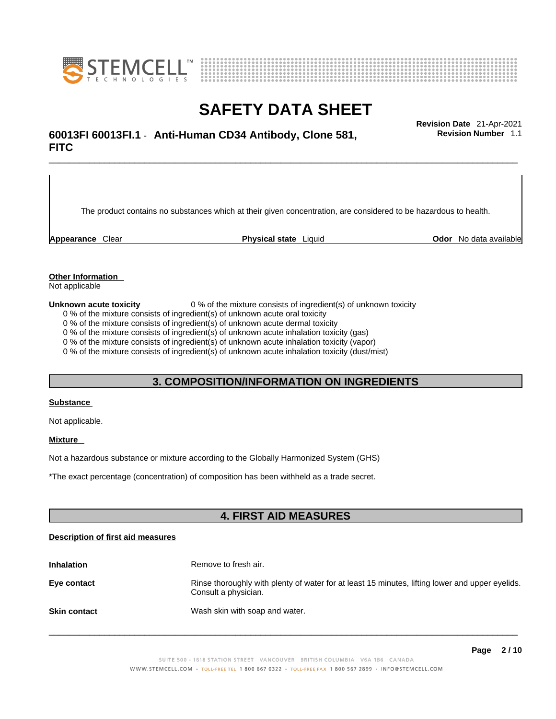



\_\_\_\_\_\_\_\_\_\_\_\_\_\_\_\_\_\_\_\_\_\_\_\_\_\_\_\_\_\_\_\_\_\_\_\_\_\_\_\_\_\_\_\_\_\_\_\_\_\_\_\_\_\_\_\_\_\_\_\_\_\_\_\_\_\_\_\_\_\_\_\_\_\_\_\_\_\_\_\_\_\_\_\_\_\_\_\_\_\_\_\_\_ **Revision Date** 21-Apr-2021 **60013FI 60013FI.1** - **Anti-Human CD34 Antibody, Clone 581, FITC** 

The product contains no substances which at their given concentration, are considered to be hazardous to health.

**Appearance** Clear **Physical state** Liquid **Odor** No data available

**Revision Number** 1.1

**Other Information** 

Not applicable

**Unknown acute toxicity** 0 % of the mixture consists of ingredient(s) of unknown toxicity

0 % of the mixture consists of ingredient(s) of unknown acute oral toxicity

0 % of the mixture consists of ingredient(s) of unknown acute dermal toxicity

0 % of the mixture consists of ingredient(s) of unknown acute inhalation toxicity (gas)

0 % of the mixture consists of ingredient(s) of unknown acute inhalation toxicity (vapor)

0 % of the mixture consists of ingredient(s) of unknown acute inhalation toxicity (dust/mist)

#### **3. COMPOSITION/INFORMATION ON INGREDIENTS**

#### **Substance**

Not applicable.

#### **Mixture**

Not a hazardous substance or mixture according to the Globally Harmonized System (GHS)

\*The exact percentage (concentration) ofcomposition has been withheld as a trade secret.

#### **4. FIRST AID MEASURES**

#### **Description of first aid measures**

| <b>Inhalation</b>   | Remove to fresh air.                                                                                                    |
|---------------------|-------------------------------------------------------------------------------------------------------------------------|
| Eye contact         | Rinse thoroughly with plenty of water for at least 15 minutes, lifting lower and upper eyelids.<br>Consult a physician. |
| <b>Skin contact</b> | Wash skin with soap and water.                                                                                          |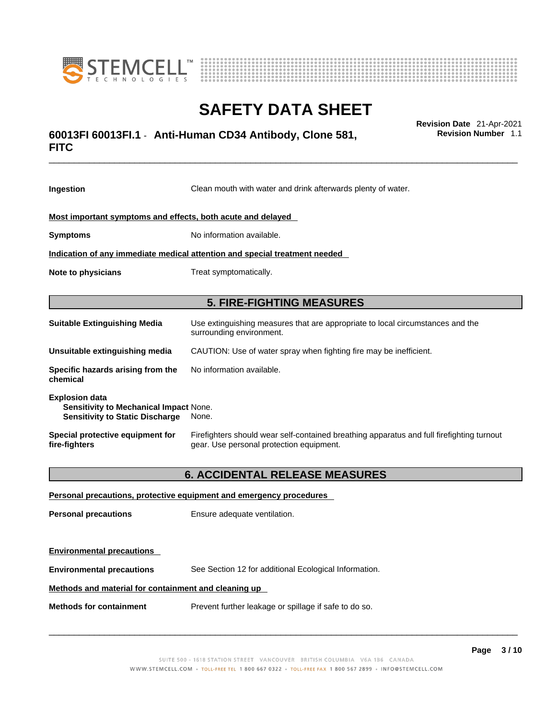



### \_\_\_\_\_\_\_\_\_\_\_\_\_\_\_\_\_\_\_\_\_\_\_\_\_\_\_\_\_\_\_\_\_\_\_\_\_\_\_\_\_\_\_\_\_\_\_\_\_\_\_\_\_\_\_\_\_\_\_\_\_\_\_\_\_\_\_\_\_\_\_\_\_\_\_\_\_\_\_\_\_\_\_\_\_\_\_\_\_\_\_\_\_ **Revision Date** 21-Apr-2021 **60013FI 60013FI.1** - **Anti-Human CD34 Antibody, Clone 581, FITC**

**Ingestion** Clean mouth with water and drink afterwards plenty of water. **Most important symptoms and effects, both acute and delayed Symptoms** No information available. **Indication of any immediate medical attention and special treatment needed Note to physicians** Treat symptomatically. **5. FIRE-FIGHTING MEASURES Suitable Extinguishing Media** Use extinguishing measures that are appropriate to local circumstances and the surrounding environment. **Unsuitable extinguishing media** CAUTION: Use of water spray when fighting fire may be inefficient. **Specific hazards arising from the chemical** No information available. **Explosion data Sensitivity to Mechanical Impact** None. **Sensitivity to Static Discharge** None. **Special protective equipment for fire-fighters** Firefighters should wear self-contained breathing apparatus and full firefighting turnout gear. Use personal protection equipment. **6. ACCIDENTAL RELEASE MEASURES Personal precautions, protective equipment and emergency procedures Personal precautions** Ensure adequate ventilation.

**Environmental precautions** See Section 12 for additional Ecological Information.

#### **Methods and material for containment and cleaning up**

**Methods for containment** Prevent further leakage or spillage if safe to do so.

**Environmental precautions** 

 $\_$  ,  $\_$  ,  $\_$  ,  $\_$  ,  $\_$  ,  $\_$  ,  $\_$  ,  $\_$  ,  $\_$  ,  $\_$  ,  $\_$  ,  $\_$  ,  $\_$  ,  $\_$  ,  $\_$  ,  $\_$  ,  $\_$  ,  $\_$  ,  $\_$  ,  $\_$  ,  $\_$  ,  $\_$  ,  $\_$  ,  $\_$  ,  $\_$  ,  $\_$  ,  $\_$  ,  $\_$  ,  $\_$  ,  $\_$  ,  $\_$  ,  $\_$  ,  $\_$  ,  $\_$  ,  $\_$  ,  $\_$  ,  $\_$  ,

**Revision Number** 1.1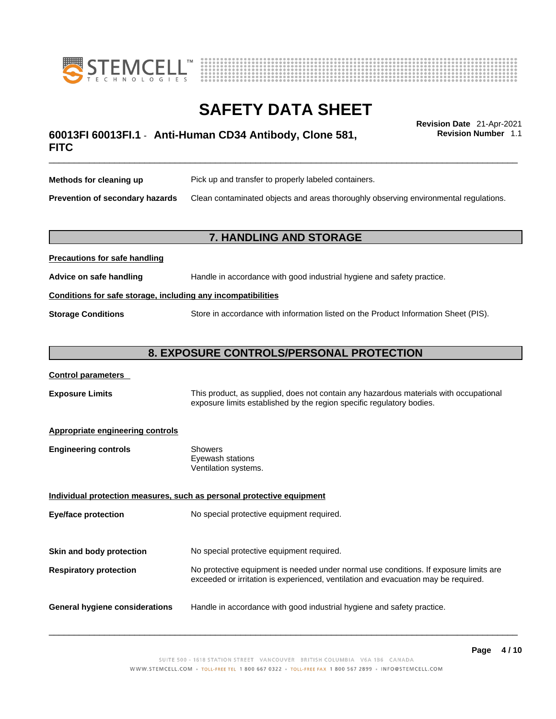



### \_\_\_\_\_\_\_\_\_\_\_\_\_\_\_\_\_\_\_\_\_\_\_\_\_\_\_\_\_\_\_\_\_\_\_\_\_\_\_\_\_\_\_\_\_\_\_\_\_\_\_\_\_\_\_\_\_\_\_\_\_\_\_\_\_\_\_\_\_\_\_\_\_\_\_\_\_\_\_\_\_\_\_\_\_\_\_\_\_\_\_\_\_ **Revision Date** 21-Apr-2021 **60013FI 60013FI.1** - **Anti-Human CD34 Antibody, Clone 581, FITC**

**Revision Number** 1.1

| Methods for cleaning up         | Pick up and transfer to properly labeled containers.                                 |
|---------------------------------|--------------------------------------------------------------------------------------|
| Prevention of secondary hazards | Clean contaminated objects and areas thoroughly observing environmental regulations. |

### **7. HANDLING AND STORAGE**

| <b>FIGURIOUS IOI SAIG HAHUIHIY</b>                           |                                                                                     |  |
|--------------------------------------------------------------|-------------------------------------------------------------------------------------|--|
| Advice on safe handling                                      | Handle in accordance with good industrial hygiene and safety practice.              |  |
| Conditions for safe storage, including any incompatibilities |                                                                                     |  |
| <b>Storage Conditions</b>                                    | Store in accordance with information listed on the Product Information Sheet (PIS). |  |

#### **8. EXPOSURE CONTROLS/PERSONAL PROTECTION**

#### **Control parameters**

**Precautions for safe handling**

**Exposure Limits** This product, as supplied, does not contain any hazardous materials with occupational exposure limits established by the region specific regulatory bodies.

#### **Appropriate engineering controls**

| <b>Engineering controls</b> | Showers              |
|-----------------------------|----------------------|
|                             | Eyewash stations     |
|                             | Ventilation systems. |

**Individual protection measures, such as personal protective equipment Eye/face protection** No special protective equipment required. **Skin and body protection** No special protective equipment required. **Respiratory protection** No protective equipment is needed under normal use conditions. If exposure limits are exceeded or irritation is experienced, ventilation and evacuation may be required. **General hygiene considerations** Handle in accordance with good industrial hygiene and safety practice.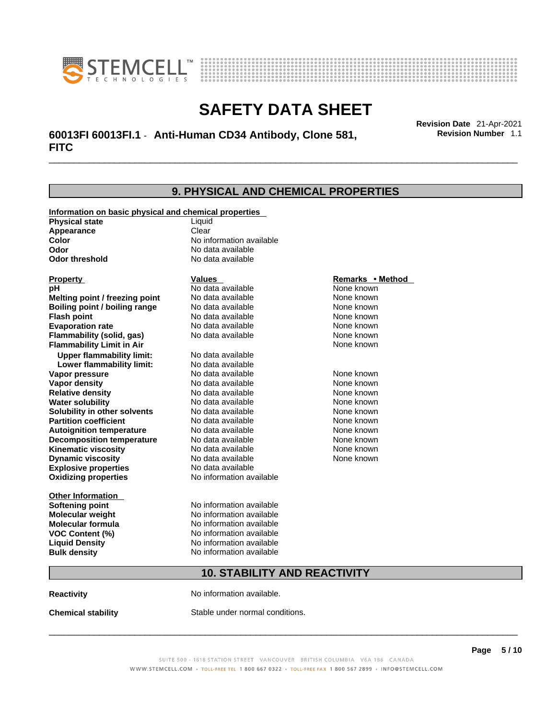



\_\_\_\_\_\_\_\_\_\_\_\_\_\_\_\_\_\_\_\_\_\_\_\_\_\_\_\_\_\_\_\_\_\_\_\_\_\_\_\_\_\_\_\_\_\_\_\_\_\_\_\_\_\_\_\_\_\_\_\_\_\_\_\_\_\_\_\_\_\_\_\_\_\_\_\_\_\_\_\_\_\_\_\_\_\_\_\_\_\_\_\_\_ **Revision Date** 21-Apr-2021 **60013FI 60013FI.1** - **Anti-Human CD34 Antibody, Clone 581, FITC** 

**9. PHYSICAL AND CHEMICAL PROPERTIES Information on basic physical and chemical properties Physical state** Liquid **Appearance** Clear<br> **Color** No int **Color Color Color Color Color Color Color No** data available **Odor Odor No data available**<br> **Odor threshold No data available No data available Explosive properties** No data available **Oxidizing properties** No information available **Other Information Softening point** No information available **Molecular weight** No information available **Molecular formula** No information available<br>**VOC Content (%)** No information available **VOC** Content (%) **Liquid Density** No information available **Bulk density No information available 10. STABILITY AND REACTIVITY Property CONSCRUTE IN THE VALUES REMARKS • Method pH** No data available None known **Melting point / freezing point Boiling point / boiling range Modata available None known Flash point Communist Communist Communist Communist Communist Communist Communist Communist Communist Communist Communist Communist Communist Communist Communist Communist Communist Communist Communist Communist Communi Evaporation rate Configure 1 Accord None Configure 1 Accord None known**<br> **Elammability (solid. gas)** No data available **None known** None known **Flammability (solid, gas)** No data available None known **Flammability Limit in Air None known None known Upper flammability limit:** No data available **Lower flammability limit:** No data available **Vapor pressure No data available None known Vapor density Notata available None known Relative density No data available None known Water solubility No data available Mone known**<br> **Solubility in other solvents** No data available None known None known **Solubility in other solvents** No data available **None known**<br> **Partition coefficient** No data available **None known**<br>
None known **Partition coefficient**<br>**Autoignition temperature** No data available **Autoignition temperature No data available None known**<br> **Decomposition temperature** No data available **None known**<br>
None known **Decomposition temperature** No data available None known<br> **Kinematic viscosity** No data available None known **Kinematic viscosity** No data available<br> **Dynamic viscosity** No data available **Dynamic viscosity** None known

**Reactivity No information available.** 

**Chemical stability** Stable under normal conditions.

 $\_$  ,  $\_$  ,  $\_$  ,  $\_$  ,  $\_$  ,  $\_$  ,  $\_$  ,  $\_$  ,  $\_$  ,  $\_$  ,  $\_$  ,  $\_$  ,  $\_$  ,  $\_$  ,  $\_$  ,  $\_$  ,  $\_$  ,  $\_$  ,  $\_$  ,  $\_$  ,  $\_$  ,  $\_$  ,  $\_$  ,  $\_$  ,  $\_$  ,  $\_$  ,  $\_$  ,  $\_$  ,  $\_$  ,  $\_$  ,  $\_$  ,  $\_$  ,  $\_$  ,  $\_$  ,  $\_$  ,  $\_$  ,  $\_$  ,

**Revision Number** 1.1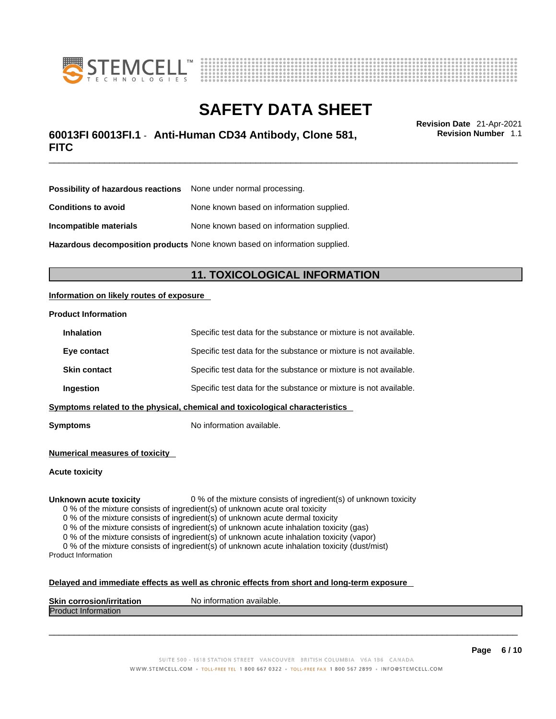



### \_\_\_\_\_\_\_\_\_\_\_\_\_\_\_\_\_\_\_\_\_\_\_\_\_\_\_\_\_\_\_\_\_\_\_\_\_\_\_\_\_\_\_\_\_\_\_\_\_\_\_\_\_\_\_\_\_\_\_\_\_\_\_\_\_\_\_\_\_\_\_\_\_\_\_\_\_\_\_\_\_\_\_\_\_\_\_\_\_\_\_\_\_ **Revision Date** 21-Apr-2021 **60013FI 60013FI.1** - **Anti-Human CD34 Antibody, Clone 581, FITC**

**Revision Number** 1.1

| <b>Possibility of hazardous reactions</b> None under normal processing.    |                                           |
|----------------------------------------------------------------------------|-------------------------------------------|
| <b>Conditions to avoid</b>                                                 | None known based on information supplied. |
| Incompatible materials                                                     | None known based on information supplied. |
| Hazardous decomposition products None known based on information supplied. |                                           |

### **11. TOXICOLOGICAL INFORMATION**

#### **Information on likely routes of exposure**

#### **Product Information**

| <b>Inhalation</b>                                                            | Specific test data for the substance or mixture is not available. |
|------------------------------------------------------------------------------|-------------------------------------------------------------------|
| Eye contact                                                                  | Specific test data for the substance or mixture is not available. |
| <b>Skin contact</b>                                                          | Specific test data for the substance or mixture is not available. |
| Ingestion                                                                    | Specific test data for the substance or mixture is not available. |
| Symptoms related to the physical, chemical and toxicological characteristics |                                                                   |

**Symptoms** No information available.

**Numerical measures of toxicity**

**Acute toxicity**

**Unknown acute toxicity** 0 % of the mixture consists of ingredient(s) of unknown toxicity

0 % of the mixture consists of ingredient(s) of unknown acute oral toxicity

0 % of the mixture consists of ingredient(s) of unknown acute dermal toxicity

0 % of the mixture consists of ingredient(s) of unknown acute inhalation toxicity (gas)

0 % of the mixture consists of ingredient(s) of unknown acute inhalation toxicity (vapor)

0 % of the mixture consists of ingredient(s) of unknown acute inhalation toxicity (dust/mist) Product Information

#### **Delayed and immediate effects as well as chronic effects from short and long-term exposure**

| <b>Skin corrosior</b><br>ion/irritation | `available.<br>No inforn<br>nation |
|-----------------------------------------|------------------------------------|
| Produc<br><b>Information</b>            |                                    |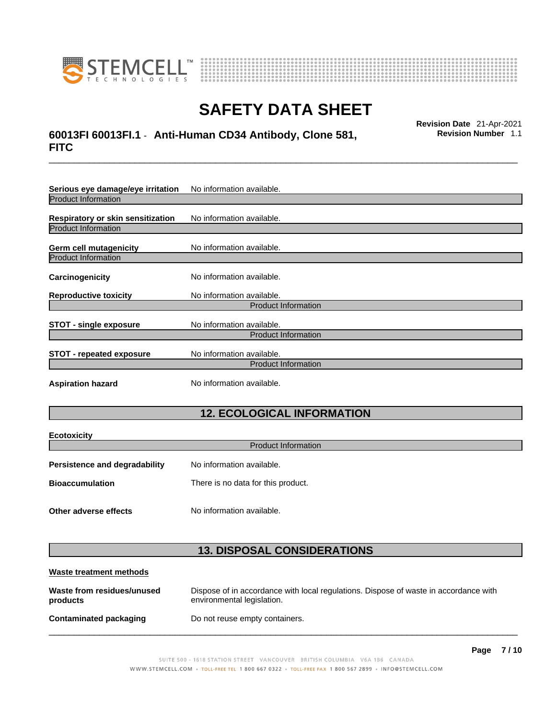

**Ecotoxicity** 



# **SAFETY DATA SHEET**

### \_\_\_\_\_\_\_\_\_\_\_\_\_\_\_\_\_\_\_\_\_\_\_\_\_\_\_\_\_\_\_\_\_\_\_\_\_\_\_\_\_\_\_\_\_\_\_\_\_\_\_\_\_\_\_\_\_\_\_\_\_\_\_\_\_\_\_\_\_\_\_\_\_\_\_\_\_\_\_\_\_\_\_\_\_\_\_\_\_\_\_\_\_ **Revision Date** 21-Apr-2021 **60013FI 60013FI.1** - **Anti-Human CD34 Antibody, Clone 581, FITC**

**Revision Number** 1.1

| Serious eye damage/eye irritation | No information available.  |  |
|-----------------------------------|----------------------------|--|
| <b>Product Information</b>        |                            |  |
| Respiratory or skin sensitization | No information available.  |  |
| <b>Product Information</b>        |                            |  |
| <b>Germ cell mutagenicity</b>     | No information available.  |  |
| <b>Product Information</b>        |                            |  |
| Carcinogenicity                   | No information available.  |  |
| <b>Reproductive toxicity</b>      | No information available.  |  |
| <b>Product Information</b>        |                            |  |
| <b>STOT - single exposure</b>     | No information available.  |  |
| <b>Product Information</b>        |                            |  |
| <b>STOT - repeated exposure</b>   | No information available.  |  |
|                                   | <b>Product Information</b> |  |
| <b>Aspiration hazard</b>          | No information available.  |  |

## **12. ECOLOGICAL INFORMATION**

| <b>ECOTOXICITY</b><br><b>Product Information</b>                  |                                    |  |
|-------------------------------------------------------------------|------------------------------------|--|
| No information available.<br><b>Persistence and degradability</b> |                                    |  |
| <b>Bioaccumulation</b>                                            | There is no data for this product. |  |
| Other adverse effects                                             | No information available.          |  |

### **13. DISPOSAL CONSIDERATIONS**

| Waste treatment methods                |                                                                                                                    |
|----------------------------------------|--------------------------------------------------------------------------------------------------------------------|
| Waste from residues/unused<br>products | Dispose of in accordance with local regulations. Dispose of waste in accordance with<br>environmental legislation. |
| <b>Contaminated packaging</b>          | Do not reuse empty containers.                                                                                     |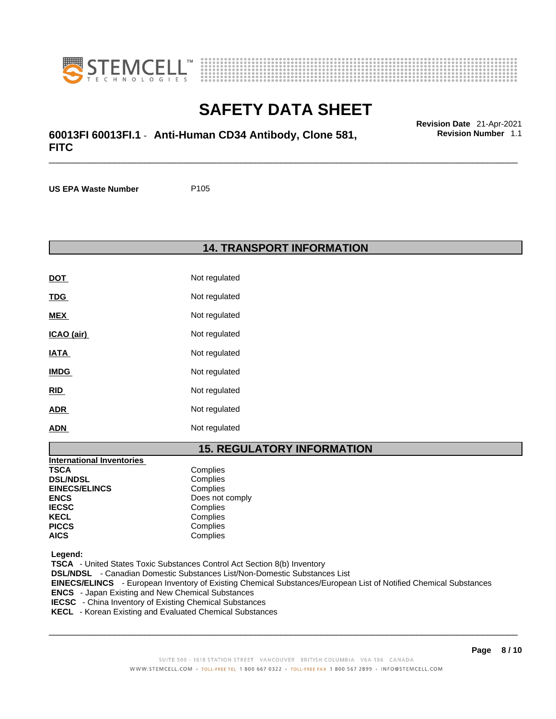



### \_\_\_\_\_\_\_\_\_\_\_\_\_\_\_\_\_\_\_\_\_\_\_\_\_\_\_\_\_\_\_\_\_\_\_\_\_\_\_\_\_\_\_\_\_\_\_\_\_\_\_\_\_\_\_\_\_\_\_\_\_\_\_\_\_\_\_\_\_\_\_\_\_\_\_\_\_\_\_\_\_\_\_\_\_\_\_\_\_\_\_\_\_ **Revision Date** 21-Apr-2021 **60013FI 60013FI.1** - **Anti-Human CD34 Antibody, Clone 581, FITC**

**US EPA Waste Number** P105

#### **14. TRANSPORT INFORMATION**

| <b>DOT</b>  | Not regulated |
|-------------|---------------|
| <b>TDG</b>  | Not regulated |
| MEX         | Not regulated |
| ICAO (air)  | Not regulated |
| <b>IATA</b> | Not regulated |
| <b>IMDG</b> | Not regulated |
| RID         | Not regulated |
| ADR         | Not regulated |
| ADN         | Not regulated |

### **15. REGULATORY INFORMATION**

| <b>International Inventories</b> |                 |
|----------------------------------|-----------------|
| <b>TSCA</b>                      | Complies        |
| <b>DSL/NDSL</b>                  | Complies        |
| <b>EINECS/ELINCS</b>             | Complies        |
| <b>ENCS</b>                      | Does not comply |
| <b>IECSC</b>                     | Complies        |
| <b>KECL</b>                      | Complies        |
| <b>PICCS</b>                     | Complies        |
| <b>AICS</b>                      | Complies        |

 **Legend:** 

 **TSCA** - United States Toxic Substances Control Act Section 8(b) Inventory  **DSL/NDSL** - Canadian Domestic Substances List/Non-Domestic Substances List  **EINECS/ELINCS** - European Inventory of Existing Chemical Substances/European List of Notified Chemical Substances  **ENCS** - Japan Existing and New Chemical Substances  **IECSC** - China Inventory of Existing Chemical Substances  **KECL** - Korean Existing and Evaluated Chemical Substances

 $\_$  ,  $\_$  ,  $\_$  ,  $\_$  ,  $\_$  ,  $\_$  ,  $\_$  ,  $\_$  ,  $\_$  ,  $\_$  ,  $\_$  ,  $\_$  ,  $\_$  ,  $\_$  ,  $\_$  ,  $\_$  ,  $\_$  ,  $\_$  ,  $\_$  ,  $\_$  ,  $\_$  ,  $\_$  ,  $\_$  ,  $\_$  ,  $\_$  ,  $\_$  ,  $\_$  ,  $\_$  ,  $\_$  ,  $\_$  ,  $\_$  ,  $\_$  ,  $\_$  ,  $\_$  ,  $\_$  ,  $\_$  ,  $\_$  ,

**Revision Number** 1.1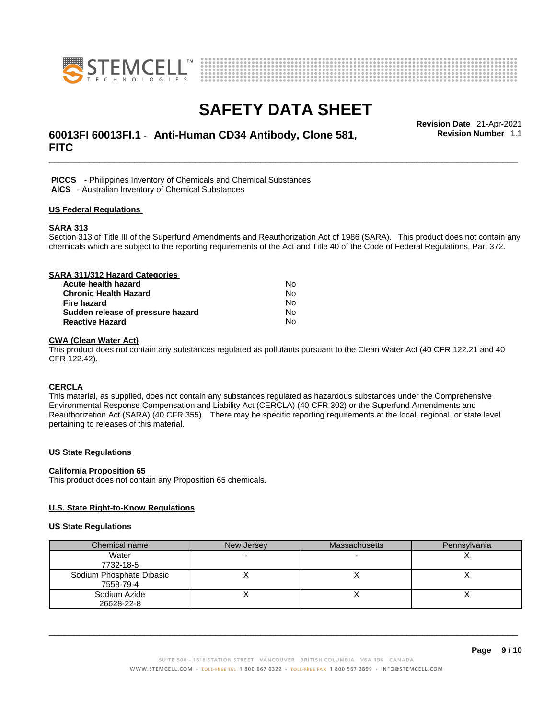



### \_\_\_\_\_\_\_\_\_\_\_\_\_\_\_\_\_\_\_\_\_\_\_\_\_\_\_\_\_\_\_\_\_\_\_\_\_\_\_\_\_\_\_\_\_\_\_\_\_\_\_\_\_\_\_\_\_\_\_\_\_\_\_\_\_\_\_\_\_\_\_\_\_\_\_\_\_\_\_\_\_\_\_\_\_\_\_\_\_\_\_\_\_ **Revision Date** 21-Apr-2021 **60013FI 60013FI.1** - **Anti-Human CD34 Antibody, Clone 581, FITC**

**Revision Number** 1.1

 **PICCS** - Philippines Inventory of Chemicals and Chemical Substances  **AICS** - Australian Inventory of Chemical Substances

#### **US Federal Regulations**

#### **SARA 313**

Section 313 of Title III of the Superfund Amendments and Reauthorization Act of 1986 (SARA). This product does not contain any chemicals which are subject to the reporting requirements of the Act and Title 40 of the Code of Federal Regulations, Part 372.

| SARA 311/312 Hazard Categories    |    |  |
|-----------------------------------|----|--|
| Acute health hazard               | N٥ |  |
| <b>Chronic Health Hazard</b>      | No |  |
| <b>Fire hazard</b>                | No |  |
| Sudden release of pressure hazard | No |  |
| <b>Reactive Hazard</b>            | No |  |

#### **CWA (Clean WaterAct)**

This product does not contain any substances regulated as pollutants pursuant to the Clean Water Act (40 CFR 122.21 and 40 CFR 122.42).

#### **CERCLA**

This material, as supplied, does not contain any substances regulated as hazardous substances under the Comprehensive Environmental Response Compensation and Liability Act (CERCLA) (40 CFR 302) or the Superfund Amendments and Reauthorization Act (SARA) (40 CFR 355). There may be specific reporting requirements at the local, regional, or state level pertaining to releases of this material.

#### **US State Regulations**

#### **California Proposition 65**

This product does not contain any Proposition 65 chemicals.

#### **U.S. State Right-to-Know Regulations**

#### **US State Regulations**

| Chemical name            | New Jersey | <b>Massachusetts</b> | Pennsylvania |
|--------------------------|------------|----------------------|--------------|
| Water                    |            |                      |              |
| 7732-18-5                |            |                      |              |
| Sodium Phosphate Dibasic |            |                      |              |
| 7558-79-4                |            |                      |              |
| Sodium Azide             |            |                      |              |
| 26628-22-8               |            |                      |              |